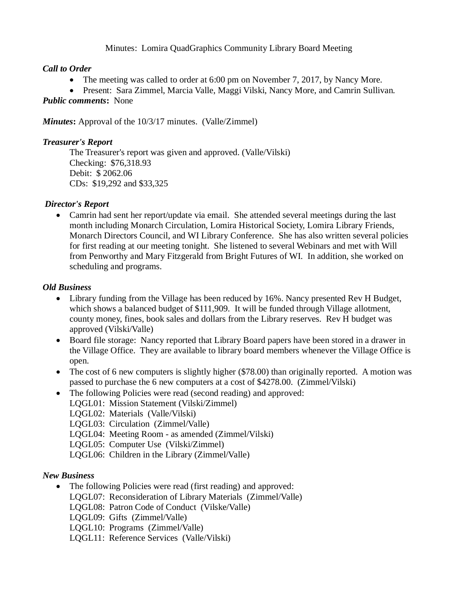### Minutes: Lomira QuadGraphics Community Library Board Meeting

# *Call to Order*

- The meeting was called to order at 6:00 pm on November 7, 2017, by Nancy More.
- Present: Sara Zimmel, Marcia Valle, Maggi Vilski, Nancy More, and Camrin Sullivan*.*

*Public comments***:** None

*Minutes***:** Approval of the 10/3/17 minutes. (Valle/Zimmel)

### *Treasurer's Report*

The Treasurer's report was given and approved. (Valle/Vilski) Checking: \$76,318.93 Debit: \$ 2062.06 CDs: \$19,292 and \$33,325

### *Director's Report*

• Camrin had sent her report/update via email. She attended several meetings during the last month including Monarch Circulation, Lomira Historical Society, Lomira Library Friends, Monarch Directors Council, and WI Library Conference. She has also written several policies for first reading at our meeting tonight. She listened to several Webinars and met with Will from Penworthy and Mary Fitzgerald from Bright Futures of WI. In addition, she worked on scheduling and programs.

#### *Old Business*

- Library funding from the Village has been reduced by 16%. Nancy presented Rev H Budget, which shows a balanced budget of \$111,909. It will be funded through Village allotment, county money, fines, book sales and dollars from the Library reserves. Rev H budget was approved (Vilski/Valle)
- Board file storage: Nancy reported that Library Board papers have been stored in a drawer in the Village Office. They are available to library board members whenever the Village Office is open.
- The cost of 6 new computers is slightly higher (\$78.00) than originally reported. A motion was passed to purchase the 6 new computers at a cost of \$4278.00. (Zimmel/Vilski)
- The following Policies were read (second reading) and approved:
	- LQGL01: Mission Statement (Vilski/Zimmel)
	- LQGL02: Materials (Valle/Vilski)
	- LQGL03: Circulation (Zimmel/Valle)
	- LQGL04: Meeting Room as amended (Zimmel/Vilski)
	- LQGL05: Computer Use (Vilski/Zimmel)
	- LQGL06: Children in the Library (Zimmel/Valle)

# *New Business*

- The following Policies were read (first reading) and approved:
	- LQGL07: Reconsideration of Library Materials (Zimmel/Valle)
	- LQGL08: Patron Code of Conduct (Vilske/Valle)
	- LQGL09: Gifts (Zimmel/Valle)
	- LQGL10: Programs (Zimmel/Valle)
	- LQGL11: Reference Services (Valle/Vilski)